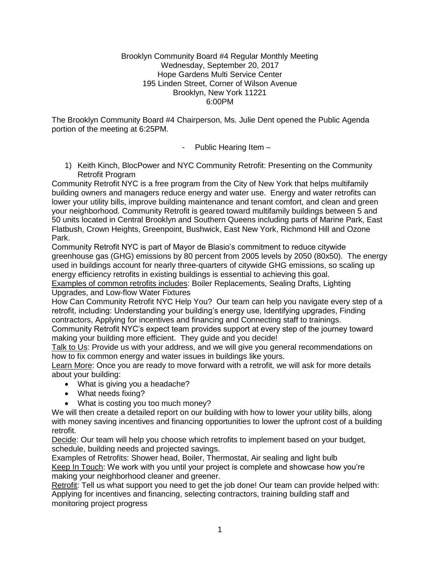#### Brooklyn Community Board #4 Regular Monthly Meeting Wednesday, September 20, 2017 Hope Gardens Multi Service Center 195 Linden Street, Corner of Wilson Avenue Brooklyn, New York 11221 6:00PM

The Brooklyn Community Board #4 Chairperson, Ms. Julie Dent opened the Public Agenda portion of the meeting at 6:25PM.

- Public Hearing Item –

1) Keith Kinch, BlocPower and NYC Community Retrofit: Presenting on the Community Retrofit Program

Community Retrofit NYC is a free program from the City of New York that helps multifamily building owners and managers reduce energy and water use. Energy and water retrofits can lower your utility bills, improve building maintenance and tenant comfort, and clean and green your neighborhood. Community Retrofit is geared toward multifamily buildings between 5 and 50 units located in Central Brooklyn and Southern Queens including parts of Marine Park, East Flatbush, Crown Heights, Greenpoint, Bushwick, East New York, Richmond Hill and Ozone Park.

Community Retrofit NYC is part of Mayor de Blasio's commitment to reduce citywide greenhouse gas (GHG) emissions by 80 percent from 2005 levels by 2050 (80x50). The energy used in buildings account for nearly three-quarters of citywide GHG emissions, so scaling up energy efficiency retrofits in existing buildings is essential to achieving this goal.

Examples of common retrofits includes: Boiler Replacements, Sealing Drafts, Lighting Upgrades, and Low-flow Water Fixtures

How Can Community Retrofit NYC Help You? Our team can help you navigate every step of a retrofit, including: Understanding your building's energy use, Identifying upgrades, Finding contractors, Applying for incentives and financing and Connecting staff to trainings.

Community Retrofit NYC's expect team provides support at every step of the journey toward making your building more efficient. They guide and you decide!

Talk to Us: Provide us with your address, and we will give you general recommendations on how to fix common energy and water issues in buildings like yours.

Learn More: Once you are ready to move forward with a retrofit, we will ask for more details about your building:

- What is giving you a headache?
- What needs fixing?
- What is costing you too much money?

We will then create a detailed report on our building with how to lower your utility bills, along with money saving incentives and financing opportunities to lower the upfront cost of a building retrofit.

Decide: Our team will help you choose which retrofits to implement based on your budget, schedule, building needs and projected savings.

Examples of Retrofits: Shower head, Boiler, Thermostat, Air sealing and light bulb Keep In Touch: We work with you until your project is complete and showcase how you're making your neighborhood cleaner and greener.

Retrofit: Tell us what support you need to get the job done! Our team can provide helped with: Applying for incentives and financing, selecting contractors, training building staff and monitoring project progress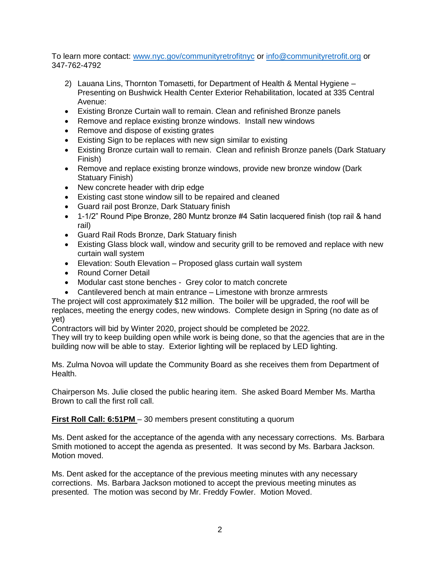To learn more contact: [www.nyc.gov/communityretrofitnyc](http://www.nyc.gov/communityretrofitnyc) or [info@communityretrofit.org](mailto:info@communityretrofit.org) or 347-762-4792

- 2) Lauana Lins, Thornton Tomasetti, for Department of Health & Mental Hygiene Presenting on Bushwick Health Center Exterior Rehabilitation, located at 335 Central Avenue:
- Existing Bronze Curtain wall to remain. Clean and refinished Bronze panels
- Remove and replace existing bronze windows. Install new windows
- Remove and dispose of existing grates
- Existing Sign to be replaces with new sign similar to existing
- Existing Bronze curtain wall to remain. Clean and refinish Bronze panels (Dark Statuary Finish)
- Remove and replace existing bronze windows, provide new bronze window (Dark) Statuary Finish)
- New concrete header with drip edge
- Existing cast stone window sill to be repaired and cleaned
- Guard rail post Bronze, Dark Statuary finish
- 1-1/2" Round Pipe Bronze, 280 Muntz bronze #4 Satin lacquered finish (top rail & hand rail)
- Guard Rail Rods Bronze, Dark Statuary finish
- Existing Glass block wall, window and security grill to be removed and replace with new curtain wall system
- Elevation: South Elevation Proposed glass curtain wall system
- Round Corner Detail
- Modular cast stone benches Grey color to match concrete
- Cantilevered bench at main entrance Limestone with bronze armrests

The project will cost approximately \$12 million. The boiler will be upgraded, the roof will be replaces, meeting the energy codes, new windows. Complete design in Spring (no date as of yet)

Contractors will bid by Winter 2020, project should be completed be 2022.

They will try to keep building open while work is being done, so that the agencies that are in the building now will be able to stay. Exterior lighting will be replaced by LED lighting.

Ms. Zulma Novoa will update the Community Board as she receives them from Department of Health.

Chairperson Ms. Julie closed the public hearing item. She asked Board Member Ms. Martha Brown to call the first roll call.

**First Roll Call: 6:51PM** – 30 members present constituting a quorum

Ms. Dent asked for the acceptance of the agenda with any necessary corrections. Ms. Barbara Smith motioned to accept the agenda as presented. It was second by Ms. Barbara Jackson. Motion moved.

Ms. Dent asked for the acceptance of the previous meeting minutes with any necessary corrections. Ms. Barbara Jackson motioned to accept the previous meeting minutes as presented. The motion was second by Mr. Freddy Fowler. Motion Moved.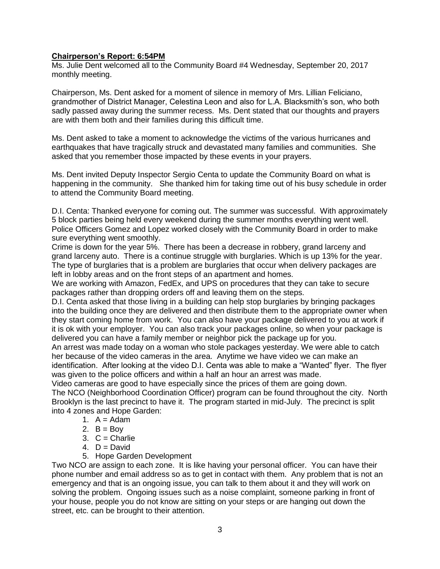## **Chairperson's Report: 6:54PM**

Ms. Julie Dent welcomed all to the Community Board #4 Wednesday, September 20, 2017 monthly meeting.

Chairperson, Ms. Dent asked for a moment of silence in memory of Mrs. Lillian Feliciano, grandmother of District Manager, Celestina Leon and also for L.A. Blacksmith's son, who both sadly passed away during the summer recess. Ms. Dent stated that our thoughts and prayers are with them both and their families during this difficult time.

Ms. Dent asked to take a moment to acknowledge the victims of the various hurricanes and earthquakes that have tragically struck and devastated many families and communities. She asked that you remember those impacted by these events in your prayers.

Ms. Dent invited Deputy Inspector Sergio Centa to update the Community Board on what is happening in the community. She thanked him for taking time out of his busy schedule in order to attend the Community Board meeting.

D.I. Centa: Thanked everyone for coming out. The summer was successful. With approximately 5 block parties being held every weekend during the summer months everything went well. Police Officers Gomez and Lopez worked closely with the Community Board in order to make sure everything went smoothly.

Crime is down for the year 5%. There has been a decrease in robbery, grand larceny and grand larceny auto. There is a continue struggle with burglaries. Which is up 13% for the year. The type of burglaries that is a problem are burglaries that occur when delivery packages are left in lobby areas and on the front steps of an apartment and homes.

We are working with Amazon, FedEx, and UPS on procedures that they can take to secure packages rather than dropping orders off and leaving them on the steps.

D.I. Centa asked that those living in a building can help stop burglaries by bringing packages into the building once they are delivered and then distribute them to the appropriate owner when they start coming home from work. You can also have your package delivered to you at work if it is ok with your employer. You can also track your packages online, so when your package is delivered you can have a family member or neighbor pick the package up for you.

An arrest was made today on a woman who stole packages yesterday. We were able to catch her because of the video cameras in the area. Anytime we have video we can make an identification. After looking at the video D.I. Centa was able to make a "Wanted" flyer. The flyer was given to the police officers and within a half an hour an arrest was made.

Video cameras are good to have especially since the prices of them are going down.

The NCO (Neighborhood Coordination Officer) program can be found throughout the city. North Brooklyn is the last precinct to have it. The program started in mid-July. The precinct is split into 4 zones and Hope Garden:

- 1.  $A = \text{Adam}$
- 2.  $B = Box$
- $3. C =$ Charlie
- 4.  $D = David$
- 5. Hope Garden Development

Two NCO are assign to each zone. It is like having your personal officer. You can have their phone number and email address so as to get in contact with them. Any problem that is not an emergency and that is an ongoing issue, you can talk to them about it and they will work on solving the problem. Ongoing issues such as a noise complaint, someone parking in front of your house, people you do not know are sitting on your steps or are hanging out down the street, etc. can be brought to their attention.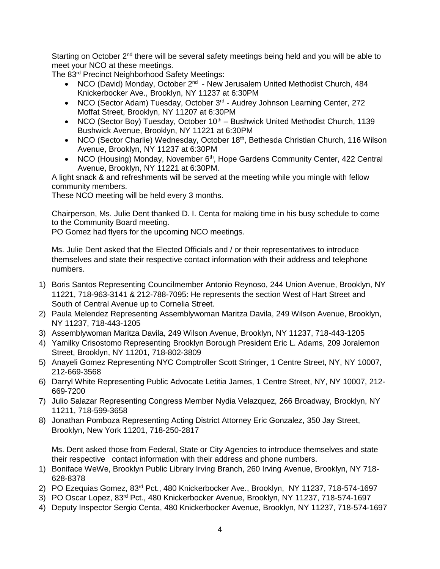Starting on October 2<sup>nd</sup> there will be several safety meetings being held and you will be able to meet your NCO at these meetings.

The 83rd Precinct Neighborhood Safety Meetings:

- NCO (David) Monday, October 2<sup>nd</sup> New Jerusalem United Methodist Church, 484 Knickerbocker Ave., Brooklyn, NY 11237 at 6:30PM
- NCO (Sector Adam) Tuesday, October 3<sup>rd</sup> Audrey Johnson Learning Center, 272 Moffat Street, Brooklyn, NY 11207 at 6:30PM
- NCO (Sector Boy) Tuesday, October  $10^{th}$  Bushwick United Methodist Church, 1139 Bushwick Avenue, Brooklyn, NY 11221 at 6:30PM
- NCO (Sector Charlie) Wednesday, October 18<sup>th</sup>, Bethesda Christian Church, 116 Wilson Avenue, Brooklyn, NY 11237 at 6:30PM
- NCO (Housing) Monday, November  $6<sup>th</sup>$ , Hope Gardens Community Center, 422 Central Avenue, Brooklyn, NY 11221 at 6:30PM.

A light snack & and refreshments will be served at the meeting while you mingle with fellow community members.

These NCO meeting will be held every 3 months.

Chairperson, Ms. Julie Dent thanked D. I. Centa for making time in his busy schedule to come to the Community Board meeting.

PO Gomez had flyers for the upcoming NCO meetings.

Ms. Julie Dent asked that the Elected Officials and / or their representatives to introduce themselves and state their respective contact information with their address and telephone numbers.

- 1) Boris Santos Representing Councilmember Antonio Reynoso, 244 Union Avenue, Brooklyn, NY 11221, 718-963-3141 & 212-788-7095: He represents the section West of Hart Street and South of Central Avenue up to Cornelia Street.
- 2) Paula Melendez Representing Assemblywoman Maritza Davila, 249 Wilson Avenue, Brooklyn, NY 11237, 718-443-1205
- 3) Assemblywoman Maritza Davila, 249 Wilson Avenue, Brooklyn, NY 11237, 718-443-1205
- 4) Yamilky Crisostomo Representing Brooklyn Borough President Eric L. Adams, 209 Joralemon Street, Brooklyn, NY 11201, 718-802-3809
- 5) Anayeli Gomez Representing NYC Comptroller Scott Stringer, 1 Centre Street, NY, NY 10007, 212-669-3568
- 6) Darryl White Representing Public Advocate Letitia James, 1 Centre Street, NY, NY 10007, 212- 669-7200
- 7) Julio Salazar Representing Congress Member Nydia Velazquez, 266 Broadway, Brooklyn, NY 11211, 718-599-3658
- 8) Jonathan Pomboza Representing Acting District Attorney Eric Gonzalez, 350 Jay Street, Brooklyn, New York 11201, 718-250-2817

Ms. Dent asked those from Federal, State or City Agencies to introduce themselves and state their respective contact information with their address and phone numbers.

- 1) Boniface WeWe, Brooklyn Public Library Irving Branch, 260 Irving Avenue, Brooklyn, NY 718- 628-8378
- 2) PO Ezequias Gomez, 83<sup>rd</sup> Pct., 480 Knickerbocker Ave., Brooklyn, NY 11237, 718-574-1697
- 3) PO Oscar Lopez, 83rd Pct., 480 Knickerbocker Avenue, Brooklyn, NY 11237, 718-574-1697
- 4) Deputy Inspector Sergio Centa, 480 Knickerbocker Avenue, Brooklyn, NY 11237, 718-574-1697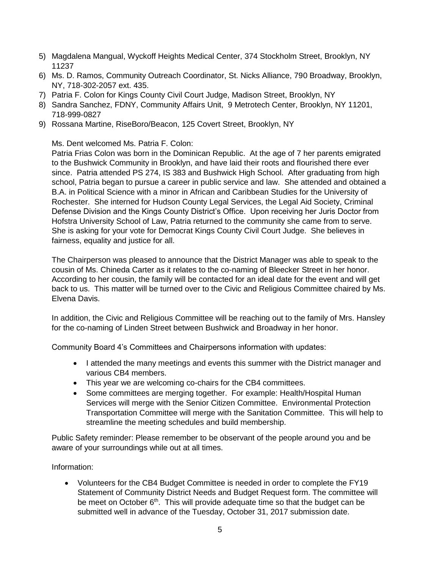- 5) Magdalena Mangual, Wyckoff Heights Medical Center, 374 Stockholm Street, Brooklyn, NY 11237
- 6) Ms. D. Ramos, Community Outreach Coordinator, St. Nicks Alliance, 790 Broadway, Brooklyn, NY, 718-302-2057 ext. 435.
- 7) Patria F. Colon for Kings County Civil Court Judge, Madison Street, Brooklyn, NY
- 8) Sandra Sanchez, FDNY, Community Affairs Unit, 9 Metrotech Center, Brooklyn, NY 11201, 718-999-0827
- 9) Rossana Martine, RiseBoro/Beacon, 125 Covert Street, Brooklyn, NY

#### Ms. Dent welcomed Ms. Patria F. Colon:

Patria Frias Colon was born in the Dominican Republic. At the age of 7 her parents emigrated to the Bushwick Community in Brooklyn, and have laid their roots and flourished there ever since. Patria attended PS 274, IS 383 and Bushwick High School. After graduating from high school, Patria began to pursue a career in public service and law. She attended and obtained a B.A. in Political Science with a minor in African and Caribbean Studies for the University of Rochester. She interned for Hudson County Legal Services, the Legal Aid Society, Criminal Defense Division and the Kings County District's Office. Upon receiving her Juris Doctor from Hofstra University School of Law, Patria returned to the community she came from to serve. She is asking for your vote for Democrat Kings County Civil Court Judge. She believes in fairness, equality and justice for all.

The Chairperson was pleased to announce that the District Manager was able to speak to the cousin of Ms. Chineda Carter as it relates to the co-naming of Bleecker Street in her honor. According to her cousin, the family will be contacted for an ideal date for the event and will get back to us. This matter will be turned over to the Civic and Religious Committee chaired by Ms. Elvena Davis.

In addition, the Civic and Religious Committee will be reaching out to the family of Mrs. Hansley for the co-naming of Linden Street between Bushwick and Broadway in her honor.

Community Board 4's Committees and Chairpersons information with updates:

- I attended the many meetings and events this summer with the District manager and various CB4 members.
- This year we are welcoming co-chairs for the CB4 committees.
- Some committees are merging together. For example: Health/Hospital Human Services will merge with the Senior Citizen Committee. Environmental Protection Transportation Committee will merge with the Sanitation Committee. This will help to streamline the meeting schedules and build membership.

Public Safety reminder: Please remember to be observant of the people around you and be aware of your surroundings while out at all times.

## Information:

 Volunteers for the CB4 Budget Committee is needed in order to complete the FY19 Statement of Community District Needs and Budget Request form. The committee will be meet on October 6<sup>th</sup>. This will provide adequate time so that the budget can be submitted well in advance of the Tuesday, October 31, 2017 submission date.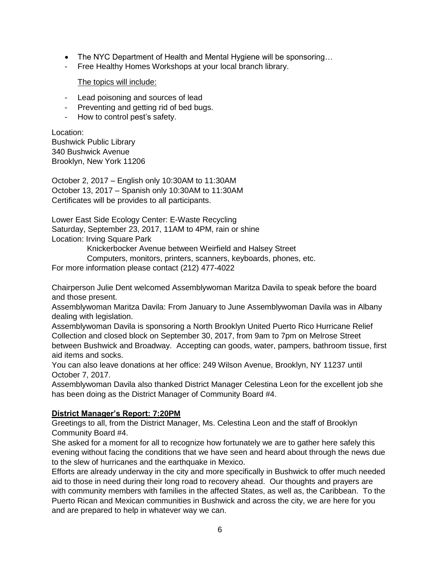- The NYC Department of Health and Mental Hygiene will be sponsoring...
- Free Healthy Homes Workshops at your local branch library.

The topics will include:

- Lead poisoning and sources of lead
- Preventing and getting rid of bed bugs.
- How to control pest's safety.

Location: Bushwick Public Library 340 Bushwick Avenue Brooklyn, New York 11206

October 2, 2017 – English only 10:30AM to 11:30AM October 13, 2017 – Spanish only 10:30AM to 11:30AM Certificates will be provides to all participants.

Lower East Side Ecology Center: E-Waste Recycling Saturday, September 23, 2017, 11AM to 4PM, rain or shine Location: Irving Square Park

Knickerbocker Avenue between Weirfield and Halsey Street

Computers, monitors, printers, scanners, keyboards, phones, etc.

For more information please contact (212) 477-4022

Chairperson Julie Dent welcomed Assemblywoman Maritza Davila to speak before the board and those present.

Assemblywoman Maritza Davila: From January to June Assemblywoman Davila was in Albany dealing with legislation.

Assemblywoman Davila is sponsoring a North Brooklyn United Puerto Rico Hurricane Relief Collection and closed block on September 30, 2017, from 9am to 7pm on Melrose Street between Bushwick and Broadway. Accepting can goods, water, pampers, bathroom tissue, first aid items and socks.

You can also leave donations at her office: 249 Wilson Avenue, Brooklyn, NY 11237 until October 7, 2017.

Assemblywoman Davila also thanked District Manager Celestina Leon for the excellent job she has been doing as the District Manager of Community Board #4.

# **District Manager's Report: 7:20PM**

Greetings to all, from the District Manager, Ms. Celestina Leon and the staff of Brooklyn Community Board #4.

She asked for a moment for all to recognize how fortunately we are to gather here safely this evening without facing the conditions that we have seen and heard about through the news due to the slew of hurricanes and the earthquake in Mexico.

Efforts are already underway in the city and more specifically in Bushwick to offer much needed aid to those in need during their long road to recovery ahead. Our thoughts and prayers are with community members with families in the affected States, as well as, the Caribbean. To the Puerto Rican and Mexican communities in Bushwick and across the city, we are here for you and are prepared to help in whatever way we can.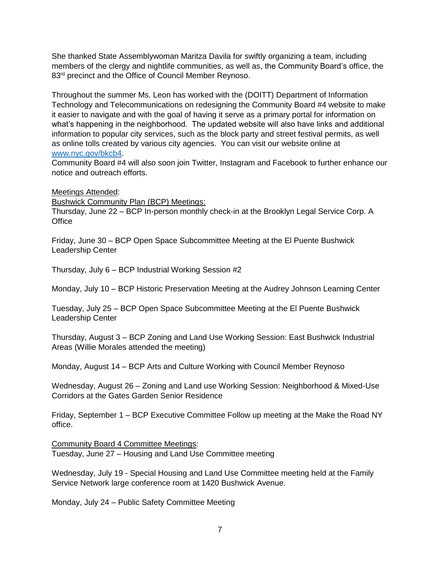She thanked State Assemblywoman Maritza Davila for swiftly organizing a team, including members of the clergy and nightlife communities, as well as, the Community Board's office, the 83<sup>rd</sup> precinct and the Office of Council Member Reynoso.

Throughout the summer Ms. Leon has worked with the (DOITT) Department of Information Technology and Telecommunications on redesigning the Community Board #4 website to make it easier to navigate and with the goal of having it serve as a primary portal for information on what's happening in the neighborhood. The updated website will also have links and additional information to popular city services, such as the block party and street festival permits, as well as online tolls created by various city agencies. You can visit our website online at [www.nyc.gov/bkcb4.](http://www.nyc.gov/bkcb4)

Community Board #4 will also soon join Twitter, Instagram and Facebook to further enhance our notice and outreach efforts.

Meetings Attended:

Bushwick Community Plan (BCP) Meetings:

Thursday, June 22 – BCP In-person monthly check-in at the Brooklyn Legal Service Corp. A **Office** 

Friday, June 30 – BCP Open Space Subcommittee Meeting at the El Puente Bushwick Leadership Center

Thursday, July 6 – BCP Industrial Working Session #2

Monday, July 10 – BCP Historic Preservation Meeting at the Audrey Johnson Learning Center

Tuesday, July 25 – BCP Open Space Subcommittee Meeting at the El Puente Bushwick Leadership Center

Thursday, August 3 – BCP Zoning and Land Use Working Session: East Bushwick Industrial Areas (Willie Morales attended the meeting)

Monday, August 14 – BCP Arts and Culture Working with Council Member Reynoso

Wednesday, August 26 – Zoning and Land use Working Session: Neighborhood & Mixed-Use Corridors at the Gates Garden Senior Residence

Friday, September 1 – BCP Executive Committee Follow up meeting at the Make the Road NY office.

Community Board 4 Committee Meetings: Tuesday, June 27 – Housing and Land Use Committee meeting

Wednesday, July 19 - Special Housing and Land Use Committee meeting held at the Family Service Network large conference room at 1420 Bushwick Avenue.

Monday, July 24 – Public Safety Committee Meeting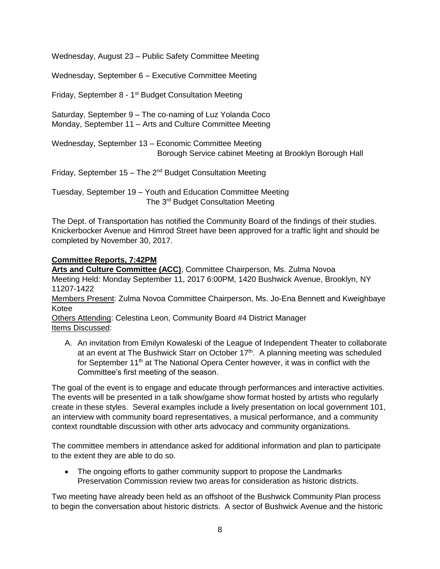Wednesday, August 23 – Public Safety Committee Meeting

Wednesday, September 6 – Executive Committee Meeting

Friday, September 8 - 1<sup>st</sup> Budget Consultation Meeting

Saturday, September 9 – The co-naming of Luz Yolanda Coco Monday, September 11 – Arts and Culture Committee Meeting

Wednesday, September 13 – Economic Committee Meeting Borough Service cabinet Meeting at Brooklyn Borough Hall

Friday, September 15 – The  $2^{nd}$  Budget Consultation Meeting

Tuesday, September 19 – Youth and Education Committee Meeting The 3rd Budget Consultation Meeting

The Dept. of Transportation has notified the Community Board of the findings of their studies. Knickerbocker Avenue and Himrod Street have been approved for a traffic light and should be completed by November 30, 2017.

## **Committee Reports, 7:42PM**

**Arts and Culture Committee (ACC)**, Committee Chairperson, Ms. Zulma Novoa Meeting Held: Monday September 11, 2017 6:00PM, 1420 Bushwick Avenue, Brooklyn, NY 11207-1422 Members Present: Zulma Novoa Committee Chairperson, Ms. Jo-Ena Bennett and Kweighbaye Kotee Others Attending: Celestina Leon, Community Board #4 District Manager Items Discussed:

A. An invitation from Emilyn Kowaleski of the League of Independent Theater to collaborate at an event at The Bushwick Starr on October 17<sup>th</sup>. A planning meeting was scheduled for September 11<sup>th</sup> at The National Opera Center however, it was in conflict with the Committee's first meeting of the season.

The goal of the event is to engage and educate through performances and interactive activities. The events will be presented in a talk show/game show format hosted by artists who regularly create in these styles. Several examples include a lively presentation on local government 101, an interview with community board representatives, a musical performance, and a community context roundtable discussion with other arts advocacy and community organizations.

The committee members in attendance asked for additional information and plan to participate to the extent they are able to do so.

• The ongoing efforts to gather community support to propose the Landmarks Preservation Commission review two areas for consideration as historic districts.

Two meeting have already been held as an offshoot of the Bushwick Community Plan process to begin the conversation about historic districts. A sector of Bushwick Avenue and the historic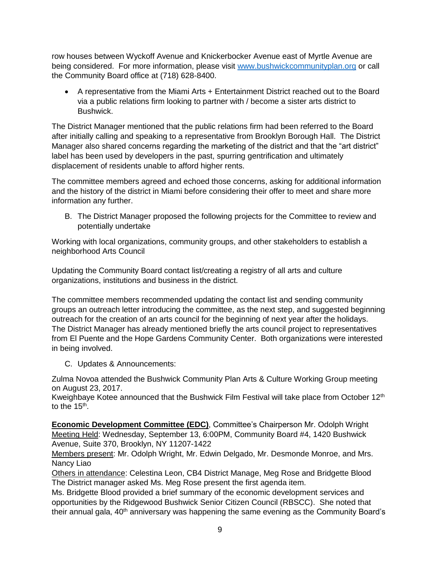row houses between Wyckoff Avenue and Knickerbocker Avenue east of Myrtle Avenue are being considered. For more information, please visit [www.bushwickcommunityplan.org](http://www.bushwickcommunityplan.org/) or call the Community Board office at (718) 628-8400.

 A representative from the Miami Arts + Entertainment District reached out to the Board via a public relations firm looking to partner with / become a sister arts district to Bushwick.

The District Manager mentioned that the public relations firm had been referred to the Board after initially calling and speaking to a representative from Brooklyn Borough Hall. The District Manager also shared concerns regarding the marketing of the district and that the "art district" label has been used by developers in the past, spurring gentrification and ultimately displacement of residents unable to afford higher rents.

The committee members agreed and echoed those concerns, asking for additional information and the history of the district in Miami before considering their offer to meet and share more information any further.

B. The District Manager proposed the following projects for the Committee to review and potentially undertake

Working with local organizations, community groups, and other stakeholders to establish a neighborhood Arts Council

Updating the Community Board contact list/creating a registry of all arts and culture organizations, institutions and business in the district.

The committee members recommended updating the contact list and sending community groups an outreach letter introducing the committee, as the next step, and suggested beginning outreach for the creation of an arts council for the beginning of next year after the holidays. The District Manager has already mentioned briefly the arts council project to representatives from El Puente and the Hope Gardens Community Center. Both organizations were interested in being involved.

C. Updates & Announcements:

Zulma Novoa attended the Bushwick Community Plan Arts & Culture Working Group meeting on August 23, 2017.

Kweighbaye Kotee announced that the Bushwick Film Festival will take place from October 12<sup>th</sup> to the 15<sup>th</sup>.

**Economic Development Committee (EDC)**, Committee's Chairperson Mr. Odolph Wright Meeting Held: Wednesday, September 13, 6:00PM, Community Board #4, 1420 Bushwick Avenue, Suite 370, Brooklyn, NY 11207-1422

Members present: Mr. Odolph Wright, Mr. Edwin Delgado, Mr. Desmonde Monroe, and Mrs. Nancy Liao

Others in attendance: Celestina Leon, CB4 District Manage, Meg Rose and Bridgette Blood The District manager asked Ms. Meg Rose present the first agenda item.

Ms. Bridgette Blood provided a brief summary of the economic development services and opportunities by the Ridgewood Bushwick Senior Citizen Council (RBSCC). She noted that their annual gala, 40<sup>th</sup> anniversary was happening the same evening as the Community Board's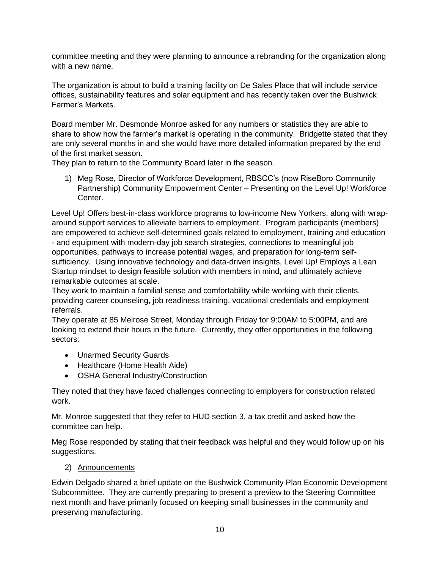committee meeting and they were planning to announce a rebranding for the organization along with a new name.

The organization is about to build a training facility on De Sales Place that will include service offices, sustainability features and solar equipment and has recently taken over the Bushwick Farmer's Markets.

Board member Mr. Desmonde Monroe asked for any numbers or statistics they are able to share to show how the farmer's market is operating in the community. Bridgette stated that they are only several months in and she would have more detailed information prepared by the end of the first market season.

They plan to return to the Community Board later in the season.

1) Meg Rose, Director of Workforce Development, RBSCC's (now RiseBoro Community Partnership) Community Empowerment Center – Presenting on the Level Up! Workforce Center.

Level Up! Offers best-in-class workforce programs to low-income New Yorkers, along with wraparound support services to alleviate barriers to employment. Program participants (members) are empowered to achieve self-determined goals related to employment, training and education - and equipment with modern-day job search strategies, connections to meaningful job opportunities, pathways to increase potential wages, and preparation for long-term selfsufficiency. Using innovative technology and data-driven insights, Level Up! Employs a Lean Startup mindset to design feasible solution with members in mind, and ultimately achieve remarkable outcomes at scale.

They work to maintain a familial sense and comfortability while working with their clients, providing career counseling, job readiness training, vocational credentials and employment referrals.

They operate at 85 Melrose Street, Monday through Friday for 9:00AM to 5:00PM, and are looking to extend their hours in the future. Currently, they offer opportunities in the following sectors:

- Unarmed Security Guards
- Healthcare (Home Health Aide)
- OSHA General Industry/Construction

They noted that they have faced challenges connecting to employers for construction related work.

Mr. Monroe suggested that they refer to HUD section 3, a tax credit and asked how the committee can help.

Meg Rose responded by stating that their feedback was helpful and they would follow up on his suggestions.

## 2) Announcements

Edwin Delgado shared a brief update on the Bushwick Community Plan Economic Development Subcommittee. They are currently preparing to present a preview to the Steering Committee next month and have primarily focused on keeping small businesses in the community and preserving manufacturing.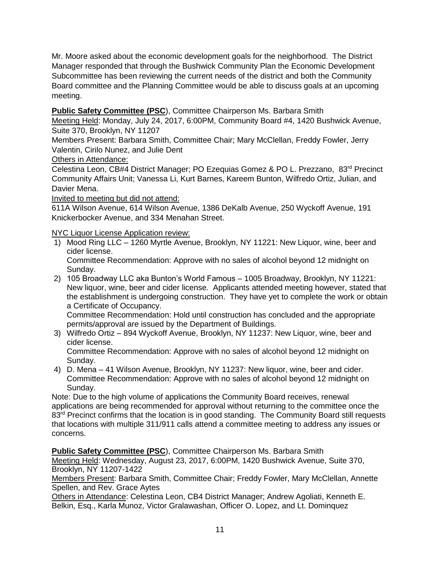Mr. Moore asked about the economic development goals for the neighborhood. The District Manager responded that through the Bushwick Community Plan the Economic Development Subcommittee has been reviewing the current needs of the district and both the Community Board committee and the Planning Committee would be able to discuss goals at an upcoming meeting.

# **Public Safety Committee (PSC**), Committee Chairperson Ms. Barbara Smith

Meeting Held: Monday, July 24, 2017, 6:00PM, Community Board #4, 1420 Bushwick Avenue, Suite 370, Brooklyn, NY 11207

Members Present: Barbara Smith, Committee Chair; Mary McClellan, Freddy Fowler, Jerry Valentin, Cirilo Nunez, and Julie Dent

Others in Attendance:

Celestina Leon, CB#4 District Manager; PO Ezequias Gomez & PO L. Prezzano, 83rd Precinct Community Affairs Unit; Vanessa Li, Kurt Barnes, Kareem Bunton, Wilfredo Ortiz, Julian, and Davier Mena.

Invited to meeting but did not attend:

611A Wilson Avenue, 614 Wilson Avenue, 1386 DeKalb Avenue, 250 Wyckoff Avenue, 191 Knickerbocker Avenue, and 334 Menahan Street.

NYC Liquor License Application review:

- 1) Mood Ring LLC 1260 Myrtle Avenue, Brooklyn, NY 11221: New Liquor, wine, beer and cider license. Committee Recommendation: Approve with no sales of alcohol beyond 12 midnight on
- Sunday. 2) 105 Broadway LLC aka Bunton's World Famous – 1005 Broadway, Brooklyn, NY 11221: New liquor, wine, beer and cider license. Applicants attended meeting however, stated that the establishment is undergoing construction. They have yet to complete the work or obtain a Certificate of Occupancy.

Committee Recommendation: Hold until construction has concluded and the appropriate permits/approval are issued by the Department of Buildings.

3) Wilfredo Ortiz – 894 Wyckoff Avenue, Brooklyn, NY 11237: New Liquor, wine, beer and cider license.

Committee Recommendation: Approve with no sales of alcohol beyond 12 midnight on Sunday.

4) D. Mena – 41 Wilson Avenue, Brooklyn, NY 11237: New liquor, wine, beer and cider. Committee Recommendation: Approve with no sales of alcohol beyond 12 midnight on Sunday.

Note: Due to the high volume of applications the Community Board receives, renewal applications are being recommended for approval without returning to the committee once the 83<sup>rd</sup> Precinct confirms that the location is in good standing. The Community Board still requests that locations with multiple 311/911 calls attend a committee meeting to address any issues or concerns.

**Public Safety Committee (PSC**), Committee Chairperson Ms. Barbara Smith

Meeting Held: Wednesday, August 23, 2017, 6:00PM, 1420 Bushwick Avenue, Suite 370, Brooklyn, NY 11207-1422

Members Present: Barbara Smith, Committee Chair; Freddy Fowler, Mary McClellan, Annette Spellen, and Rev. Grace Aytes

Others in Attendance: Celestina Leon, CB4 District Manager; Andrew Agoliati, Kenneth E. Belkin, Esq., Karla Munoz, Victor Gralawashan, Officer O. Lopez, and Lt. Dominquez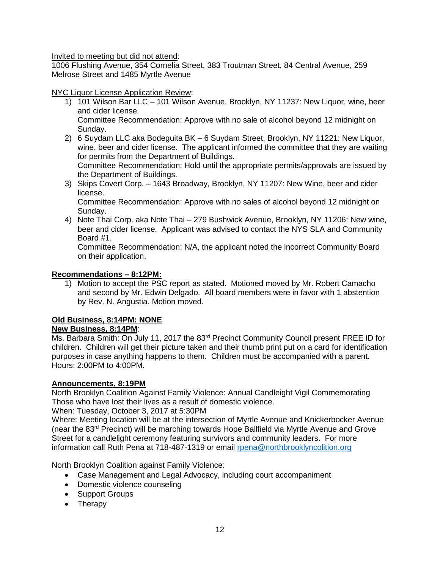Invited to meeting but did not attend:

1006 Flushing Avenue, 354 Cornelia Street, 383 Troutman Street, 84 Central Avenue, 259 Melrose Street and 1485 Myrtle Avenue

NYC Liquor License Application Review:

1) 101 Wilson Bar LLC – 101 Wilson Avenue, Brooklyn, NY 11237: New Liquor, wine, beer and cider license. Committee Recommendation: Approve with no sale of alcohol beyond 12 midnight on

Sunday.

2) 6 Suydam LLC aka Bodeguita BK – 6 Suydam Street, Brooklyn, NY 11221: New Liquor, wine, beer and cider license. The applicant informed the committee that they are waiting for permits from the Department of Buildings.

Committee Recommendation: Hold until the appropriate permits/approvals are issued by the Department of Buildings.

3) Skips Covert Corp. – 1643 Broadway, Brooklyn, NY 11207: New Wine, beer and cider license.

Committee Recommendation: Approve with no sales of alcohol beyond 12 midnight on Sunday.

4) Note Thai Corp. aka Note Thai – 279 Bushwick Avenue, Brooklyn, NY 11206: New wine, beer and cider license. Applicant was advised to contact the NYS SLA and Community Board #1.

Committee Recommendation: N/A, the applicant noted the incorrect Community Board on their application.

## **Recommendations – 8:12PM:**

1) Motion to accept the PSC report as stated. Motioned moved by Mr. Robert Camacho and second by Mr. Edwin Delgado. All board members were in favor with 1 abstention by Rev. N. Angustia. Motion moved.

#### **Old Business, 8:14PM: NONE New Business, 8:14PM**:

Ms. Barbara Smith: On July 11, 2017 the 83<sup>rd</sup> Precinct Community Council present FREE ID for children. Children will get their picture taken and their thumb print put on a card for identification purposes in case anything happens to them. Children must be accompanied with a parent. Hours: 2:00PM to 4:00PM.

## **Announcements, 8:19PM**

North Brooklyn Coalition Against Family Violence: Annual Candleight Vigil Commemorating Those who have lost their lives as a result of domestic violence.

When: Tuesday, October 3, 2017 at 5:30PM

Where: Meeting location will be at the intersection of Myrtle Avenue and Knickerbocker Avenue (near the 83rd Precinct) will be marching towards Hope Ballfield via Myrtle Avenue and Grove Street for a candlelight ceremony featuring survivors and community leaders. For more information call Ruth Pena at 718-487-1319 or email [rpena@northbrooklyncolition.org](mailto:rpena@northbrooklyncolition.org)

North Brooklyn Coalition against Family Violence:

- Case Management and Legal Advocacy, including court accompaniment
- Domestic violence counseling
- Support Groups
- Therapy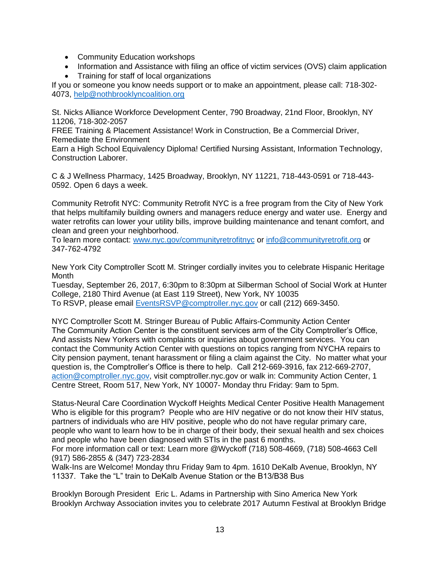- Community Education workshops
- Information and Assistance with filing an office of victim services (OVS) claim application
- Training for staff of local organizations

If you or someone you know needs support or to make an appointment, please call: 718-302- 4073, [help@nothbrooklyncoalition.org](mailto:help@nothbrooklyncoalition.org) 

St. Nicks Alliance Workforce Development Center, 790 Broadway, 21nd Floor, Brooklyn, NY 11206, 718-302-2057

FREE Training & Placement Assistance! Work in Construction, Be a Commercial Driver, Remediate the Environment

Earn a High School Equivalency Diploma! Certified Nursing Assistant, Information Technology, Construction Laborer.

C & J Wellness Pharmacy, 1425 Broadway, Brooklyn, NY 11221, 718-443-0591 or 718-443- 0592. Open 6 days a week.

Community Retrofit NYC: Community Retrofit NYC is a free program from the City of New York that helps multifamily building owners and managers reduce energy and water use. Energy and water retrofits can lower your utility bills, improve building maintenance and tenant comfort, and clean and green your neighborhood.

To learn more contact: [www.nyc.gov/communityretrofitnyc](http://www.nyc.gov/communityretrofitnyc) or [info@communityretrofit.org](mailto:info@communityretrofit.org) or 347-762-4792

New York City Comptroller Scott M. Stringer cordially invites you to celebrate Hispanic Heritage Month

Tuesday, September 26, 2017, 6:30pm to 8:30pm at Silberman School of Social Work at Hunter College, 2180 Third Avenue (at East 119 Street), New York, NY 10035 To RSVP, please email [EventsRSVP@comptroller.nyc.gov](mailto:EventsRSVP@comptroller.nyc.gov) or call (212) 669-3450.

NYC Comptroller Scott M. Stringer Bureau of Public Affairs-Community Action Center The Community Action Center is the constituent services arm of the City Comptroller's Office, And assists New Yorkers with complaints or inquiries about government services. You can contact the Community Action Center with questions on topics ranging from NYCHA repairs to City pension payment, tenant harassment or filing a claim against the City. No matter what your question is, the Comptroller's Office is there to help. Call 212-669-3916, fax 212-669-2707, [action@comptroller.nyc.gov,](mailto:action@comptroller.nyc.gov) visit comptroller.nyc.gov or walk in: Community Action Center, 1 Centre Street, Room 517, New York, NY 10007- Monday thru Friday: 9am to 5pm.

Status-Neural Care Coordination Wyckoff Heights Medical Center Positive Health Management Who is eligible for this program? People who are HIV negative or do not know their HIV status, partners of individuals who are HIV positive, people who do not have regular primary care, people who want to learn how to be in charge of their body, their sexual health and sex choices and people who have been diagnosed with STIs in the past 6 months.

For more information call or text: Learn more @Wyckoff (718) 508-4669, (718) 508-4663 Cell (917) 586-2855 & (347) 723-2834

Walk-Ins are Welcome! Monday thru Friday 9am to 4pm. 1610 DeKalb Avenue, Brooklyn, NY 11337. Take the "L" train to DeKalb Avenue Station or the B13/B38 Bus

Brooklyn Borough President Eric L. Adams in Partnership with Sino America New York Brooklyn Archway Association invites you to celebrate 2017 Autumn Festival at Brooklyn Bridge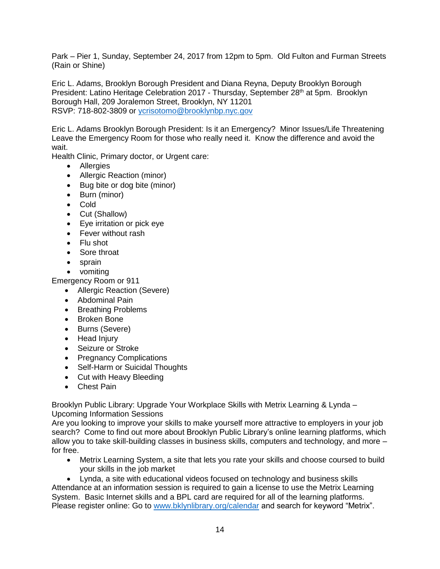Park – Pier 1, Sunday, September 24, 2017 from 12pm to 5pm. Old Fulton and Furman Streets (Rain or Shine)

Eric L. Adams, Brooklyn Borough President and Diana Reyna, Deputy Brooklyn Borough President: Latino Heritage Celebration 2017 - Thursday, September 28<sup>th</sup> at 5pm. Brooklyn Borough Hall, 209 Joralemon Street, Brooklyn, NY 11201 RSVP: 718-802-3809 or [ycrisotomo@brooklynbp.nyc.gov](mailto:ycrisotomo@brooklynbp.nyc.gov) 

Eric L. Adams Brooklyn Borough President: Is it an Emergency? Minor Issues/Life Threatening Leave the Emergency Room for those who really need it. Know the difference and avoid the wait.

Health Clinic, Primary doctor, or Urgent care:

- Allergies
- Allergic Reaction (minor)
- Bug bite or dog bite (minor)
- Burn (minor)
- Cold
- Cut (Shallow)
- Eye irritation or pick eye
- Fever without rash
- Flu shot
- Sore throat
- sprain
- vomiting

Emergency Room or 911

- Allergic Reaction (Severe)
- Abdominal Pain
- Breathing Problems
- Broken Bone
- Burns (Severe)
- Head Injury
- Seizure or Stroke
- Pregnancy Complications
- Self-Harm or Suicidal Thoughts
- Cut with Heavy Bleeding
- Chest Pain

Brooklyn Public Library: Upgrade Your Workplace Skills with Metrix Learning & Lynda – Upcoming Information Sessions

Are you looking to improve your skills to make yourself more attractive to employers in your job search? Come to find out more about Brooklyn Public Library's online learning platforms, which allow you to take skill-building classes in business skills, computers and technology, and more – for free.

 Metrix Learning System, a site that lets you rate your skills and choose coursed to build your skills in the job market

 Lynda, a site with educational videos focused on technology and business skills Attendance at an information session is required to gain a license to use the Metrix Learning System. Basic Internet skills and a BPL card are required for all of the learning platforms. Please register online: Go to [www.bklynlibrary.org/calendar](http://www.bklynlibrary.org/calendar) and search for keyword "Metrix".